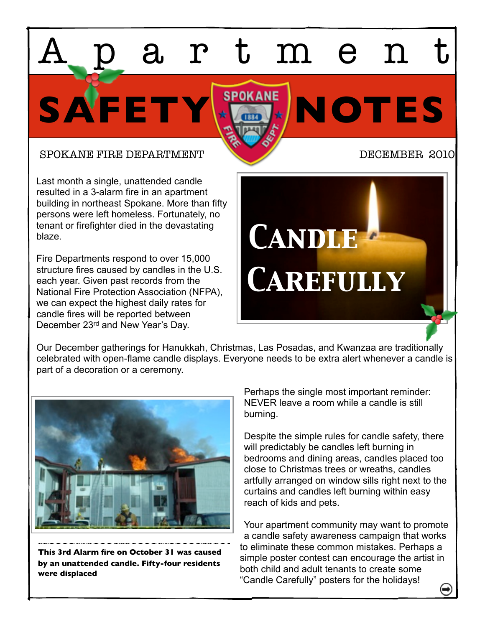SPOKANE FIRE DEPARTMENT NEWSLET DECEMBER 2010

Last month a single, unattended candle resulted in a 3-alarm fire in an apartment building in northeast Spokane. More than fifty persons were left homeless. Fortunately, no tenant or firefighter died in the devastating blaze.

Fire Departments respond to over 15,000 structure fires caused by candles in the U.S. each year. Given past records from the National Fire Protection Association (NFPA), we can expect the highest daily rates for candle fires will be reported between December 23rd and New Year's Day.



Our December gatherings for Hanukkah, Christmas, Las Posadas, and Kwanzaa are traditionally celebrated with open-flame candle displays. Everyone needs to be extra alert whenever a candle is part of a decoration or a ceremony.

SAFETY HOTES

Apartment



**This 3rd Alarm fire on October 31 was caused by an unattended candle. Fifty-four residents were displaced** 

Perhaps the single most important reminder: NEVER leave a room while a candle is still burning.

Despite the simple rules for candle safety, there will predictably be candles left burning in bedrooms and dining areas, candles placed too close to Christmas trees or wreaths, candles artfully arranged on window sills right next to the curtains and candles left burning within easy reach of kids and pets.

Your apartment community may want to promote a candle safety awareness campaign that works to eliminate these common mistakes. Perhaps a simple poster contest can encourage the artist in both child and adult tenants to create some "Candle Carefully" posters for the holidays!